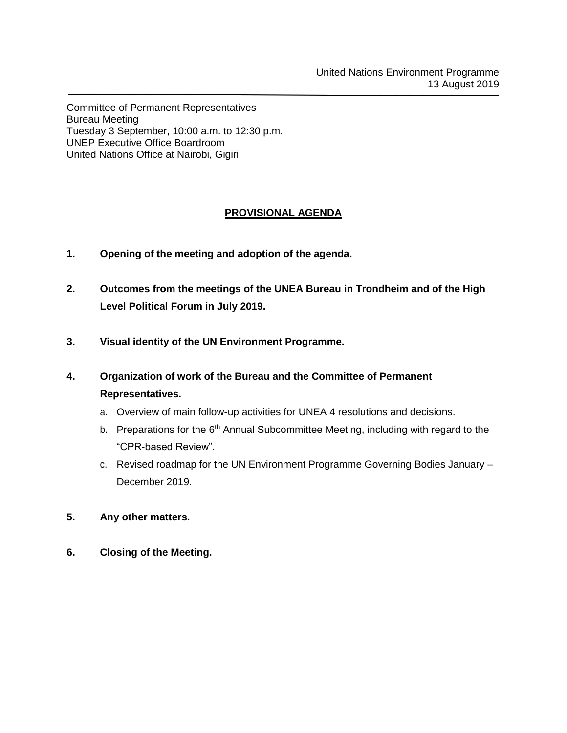Committee of Permanent Representatives Bureau Meeting Tuesday 3 September, 10:00 a.m. to 12:30 p.m. UNEP Executive Office Boardroom United Nations Office at Nairobi, Gigiri

# **PROVISIONAL AGENDA**

- **1. Opening of the meeting and adoption of the agenda.**
- **2. Outcomes from the meetings of the UNEA Bureau in Trondheim and of the High Level Political Forum in July 2019.**
- **3. Visual identity of the UN Environment Programme.**
- **4. Organization of work of the Bureau and the Committee of Permanent Representatives.**
	- a. Overview of main follow-up activities for UNEA 4 resolutions and decisions.
	- b. Preparations for the  $6<sup>th</sup>$  Annual Subcommittee Meeting, including with regard to the "CPR-based Review".
	- c. Revised roadmap for the UN Environment Programme Governing Bodies January December 2019.
- **5. Any other matters.**
- **6. Closing of the Meeting.**